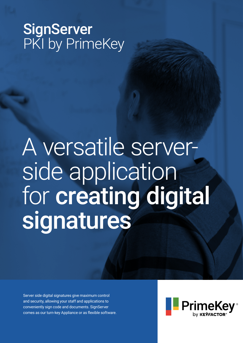### SignServer PKI by PrimeKey

# A versatile serverside application for creating digital signatures

Server side digital signatures give maximum control and security, allowing your staff and applications to conveniently sign code and documents. SignServer comes as our turn-key Appliance or as flexible software.

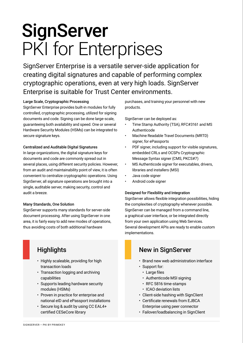## **SignServer** PKI for Enterprises

SignServer Enterprise is a versatile server-side application for creating digital signatures and capable of performing complex cryptographic operations, even at very high loads. SignServer Enterprise is suitable for Trust Center environments.

#### Large Scale, Cryptographic Processing

SignServer Enterprise provides built-in modules for fully controlled, cryptographic processing, utilized for signing documents and code. Signing can be done large-scale, guaranteeing both availability and speed. One or several Hardware Security Modules (HSMs) can be integrated to secure signature keys.

#### Centralized and Auditable Digital Signatures

In large organizations, the digital signature keys for documents and code are commonly spread out in several places, using different security policies. However, from an audit and maintainability point of view, it is often convenient to centralize cryptographic operations. Using SignServer, all signature operations are brought into a single, auditable server, making security, control and audit a breeze.

#### Many Standards, One Solution

SignServer supports many standards for server-side document processing. After using SignServer in one area, it is fairly easy to add new modes of operations, thus avoiding costs of both additional hardware

- Highly scaleable, providing for high transaction loads
- Transaction logging and archiving capabilities
- Supports leading hardware security modules (HSMs)
- Proven in practice for enterprise and national eID and ePassport installations
- Secure log & audit by using CC EAL4+ certified CESeCore library

purchases, and training your personnel with new products.

SignServer can be deployed as:

- Time Stamp Authority (TSA), RFC#3161 and MS Authenticode
- Machine Readable Travel Documents (MRTD) signer, for ePassports
- PDF signer, including support for visible signatures, embedded CRLs and OCSPs Cryptographic Message Syntax signer (CMS, PKCS#7)
- MS Authenticode signer for executables, drivers, libraries and installers (MSI)
- Java code signer
- Android code signer

#### Designed for Flexibility and Integration

SignServer allows flexible integration possibilities, hiding the complexities of cryptography whenever possible. SignServer can be managed from a command line, a graphical user interface, or be integrated directly from your own application using Web Services. Several development APIs are ready to enable custom implementations.

### Highlights **New in SignServer**

- Brand new web administration interface
- Support for:
	- Large files
	- Authenticode MSI signing
	- RFC 5816 time-stamps
	- ICAO deviation lists
- Client-side hashing with SignClient
- Certificate renewals from EJBCA Enterprise using peer connector
- Failover/loadbalancing in SignClient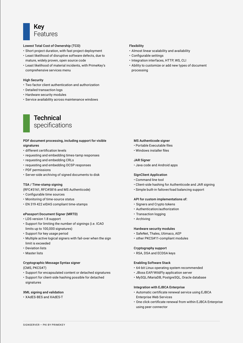

#### Lowest Total Cost of Ownership (TCO)

- Short project duration, with fast project deployment
- Least likelihood of disruptive software defects, due to mature, widely proven, open source code
- Least likelihood of material incidents, with PrimeKey's comprehensive services menu

#### High Security

- Two factor client authentication and authorization
- Detailed transaction logs
- Hardware security modules
- Service availability across maintenance windows

### **Technical** specifications

#### PDF document processing, including support for visible signatures

- different certification levels
- requesting and embedding times-tamp responses
- requesting and embedding CRLs
- requesting and embedding OCSP responses
- PDF permissions
- Server-side archiving of signed documents to disk

#### TSA / Time-stamp signing

(RFC#3161, RFC#5816 and MS Authenticode)

- Configurable time sources
- Monitoring of time-source status
- EN 319 422 eIDAS compliant time-stamps

#### ePassport Document Signer (MRTD)

- LDS version 1.8 support
- Support for limiting the number of signings (i.e. ICAO limits up to 100,000 signatures)
- Support for key usage period
- Multiple active logical signers with fail-over when the sign limit is exceeded
- Deviation lists
- Master lists

#### Cryptographic Message Syntax signer

(CMS, PKCS#7)

- Support for encapsulated content or detached signatures
- Support for client-side hashing possible for detached signatures

#### XML signing and validation

• XAdES-BES and XAdES-T

#### Flexibility

- Almost linear scalability and availability
- Configurable settings
- Integration interfaces, HTTP, WS, CLI
- Ability to customize or add new types of document processing

#### MS Authenticode signer

- Portable Executable files
- Windows installer files

#### JAR Signer

• Java code and Android apps

#### SignClient Application

- Command line tool
- Client-side hashing for Authenticode and JAR signing
- Simple built-in failover/load balancing support

#### API for custom implementations of:

- Signers and Crypto tokens
- Authentication/authorization
- Transaction logging
- Archiving

#### Hardware security modules

- SafeNet, Thales, Utimaco, AEP
- other PKCS#11-compliant modules

#### Cryptography support

• RSA, DSA and ECDSA keys

#### Enabling Software Stack

- 64-bit Linux operating system recommended
- JBoss EAP/WildFly application server
- MySQL/MariaDB, PostgreSQL, Oracle database

#### Integration with EJBCA Enterprise

- Automatic certificate renewal service using EJBCA Enterprise Web Services
- One click certificate renewal from within EJBCA Enterprise using peer connector